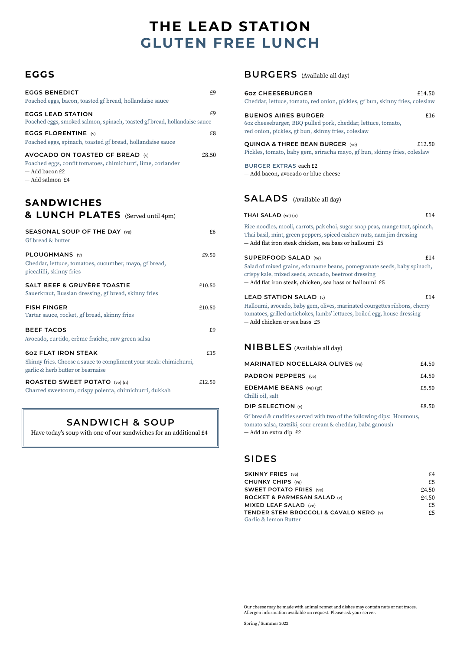# **GLUTEN FREE LUNCH THE LEAD STATION**

## **EGGS**

| <b>EGGS BENEDICT</b><br>Poached eggs, bacon, toasted gf bread, hollandaise sauce                                                      | £9    |
|---------------------------------------------------------------------------------------------------------------------------------------|-------|
| <b>EGGS LEAD STATION</b><br>Poached eggs, smoked salmon, spinach, toasted gf bread, hollandaise sauce                                 | £9    |
| EGGS FLORENTINE $(v)$<br>Poached eggs, spinach, toasted gf bread, hollandaise sauce                                                   | £8    |
| AVOCADO ON TOASTED GF BREAD (v)<br>Poached eggs, confit tomatoes, chimichurri, lime, coriander<br>$-$ Add bacon £2<br>- Add salmon £4 | £8.50 |

## **SANDWICHES & LUNCH PLATES** (Served until 4pm)

| <b>SEASONAL SOUP OF THE DAY (ve)</b><br>Gf bread & butter                                                                              | £6     |
|----------------------------------------------------------------------------------------------------------------------------------------|--------|
| PLOUGHMANS (v)<br>Cheddar, lettuce, tomatoes, cucumber, mayo, gf bread,<br>piccalilli, skinny fries                                    | £9.50  |
| SALT BEEF & GRUYÈRE TOASTIE<br>Sauerkraut, Russian dressing, gf bread, skinny fries                                                    | £10.50 |
| <b>FISH FINGER</b><br>Tartar sauce, rocket, gf bread, skinny fries                                                                     | £10.50 |
| <b>BEEF TACOS</b><br>Avocado, curtido, crème fraîche, raw green salsa                                                                  | £9     |
| <b>60Z FLAT IRON STEAK</b><br>Skinny fries. Choose a sauce to compliment your steak: chimichurri,<br>garlic & herb butter or bearnaise | £15    |
| <b>ROASTED SWEET POTATO</b> (ve) (n)<br>Charred sweetcorn, crispy polenta, chimichurri, dukkah                                         | £12.50 |

## **SANDWICH & SOUP**

Have today's soup with one of our sandwiches for an additional £4

## **BURGERS** (Available all day)

| <b>60Z CHEESEBURGER</b><br>£14.50<br>Cheddar, lettuce, tomato, red onion, pickles, gf bun, skinny fries, coleslaw                                                                                                               |  |
|---------------------------------------------------------------------------------------------------------------------------------------------------------------------------------------------------------------------------------|--|
| <b>BUENOS AIRES BURGER</b><br>£16<br>60z cheeseburger, BBQ pulled pork, cheddar, lettuce, tomato,<br>red onion, pickles, gf bun, skinny fries, coleslaw                                                                         |  |
| <b>QUINOA &amp; THREE BEAN BURGER (ve)</b><br>£12.50<br>Pickles, tomato, baby gem, sriracha mayo, gf bun, skinny fries, coleslaw                                                                                                |  |
| <b>BURGER EXTRAS each £2</b><br>- Add bacon, avocado or blue cheese                                                                                                                                                             |  |
| <b>SALADS</b> (Available all day)                                                                                                                                                                                               |  |
| £14<br><b>THAI SALAD</b> (ve) $(n)$                                                                                                                                                                                             |  |
| Rice noodles, mooli, carrots, pak choi, sugar snap peas, mange tout, spinach,<br>Thai basil, mint, green peppers, spiced cashew nuts, nam jim dressing<br>- Add flat iron steak chicken, sea bass or halloumi £5                |  |
| <b>SUPERFOOD SALAD</b> (ve)<br>£14<br>Salad of mixed grains, edamame beans, pomegranate seeds, baby spinach,<br>crispy kale, mixed seeds, avocado, beetroot dressing<br>— Add flat iron steak, chicken, sea bass or halloumi £5 |  |
| £14<br><b>LEAD STATION SALAD (v)</b><br>Halloumi, avocado, baby gem, olives, marinated courgettes ribbons, cherry<br>tomatoes, grilled artichokes, lambs' lettuces, boiled egg, house dressing<br>- Add chicken or sea bass £5  |  |

## **NIBBLES** (Available all day)

| DIP SELECTION $(w)$                    | £8.50 |
|----------------------------------------|-------|
| Chilli oil, salt                       |       |
| <b>EDEMAME BEANS</b> (ve) (gf)         | £5.50 |
| <b>PADRON PEPPERS</b> (ve)             | £4.50 |
| <b>MARINATED NOCELLARA OLIVES (ve)</b> | £4.50 |

Gf bread & crudities served with two of the following dips: Houmous, tomato salsa, tzatziki, sour cream & cheddar, baba ganoush — Add an extra dip £2

## **SIDES**

| <b>SKINNY FRIES</b> (ve)                          | f4    |
|---------------------------------------------------|-------|
| <b>CHUNKY CHIPS (ve)</b>                          | £5    |
| <b>SWEET POTATO FRIES (ve)</b>                    | £4.50 |
| ROCKET & PARMESAN SALAD (v)                       | £4.50 |
| <b>MIXED LEAF SALAD</b> (ve)                      | £5    |
| <b>TENDER STEM BROCCOLI &amp; CAVALO NERO (v)</b> | f5    |
| Garlic & lemon Butter                             |       |

Our cheese may be made with animal rennet and dishes may contain nuts or nut traces. Allergen information available on request. Please ask your server.